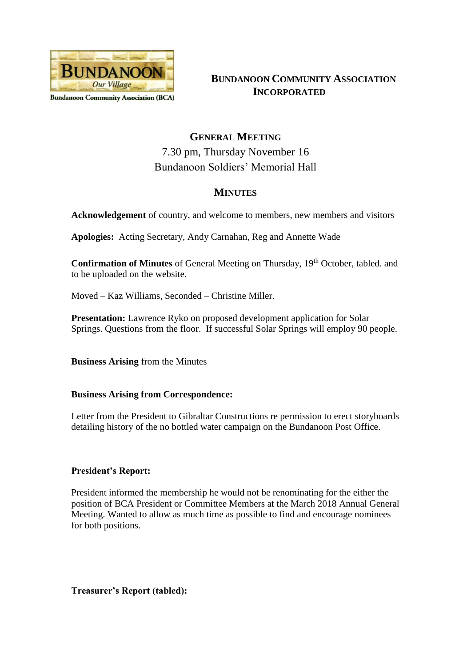

**BUNDANOON COMMUNITY ASSOCIATION INCORPORATED**

# **GENERAL MEETING** 7.30 pm, Thursday November 16 Bundanoon Soldiers' Memorial Hall

# **MINUTES**

**Acknowledgement** of country, and welcome to members, new members and visitors

**Apologies:** Acting Secretary, Andy Carnahan, Reg and Annette Wade

**Confirmation of Minutes** of General Meeting on Thursday, 19<sup>th</sup> October, tabled. and to be uploaded on the website.

Moved – Kaz Williams, Seconded – Christine Miller.

**Presentation:** Lawrence Ryko on proposed development application for Solar Springs. Questions from the floor. If successful Solar Springs will employ 90 people.

**Business Arising** from the Minutes

### **Business Arising from Correspondence:**

Letter from the President to Gibraltar Constructions re permission to erect storyboards detailing history of the no bottled water campaign on the Bundanoon Post Office.

## **President's Report:**

President informed the membership he would not be renominating for the either the position of BCA President or Committee Members at the March 2018 Annual General Meeting. Wanted to allow as much time as possible to find and encourage nominees for both positions.

**Treasurer's Report (tabled):**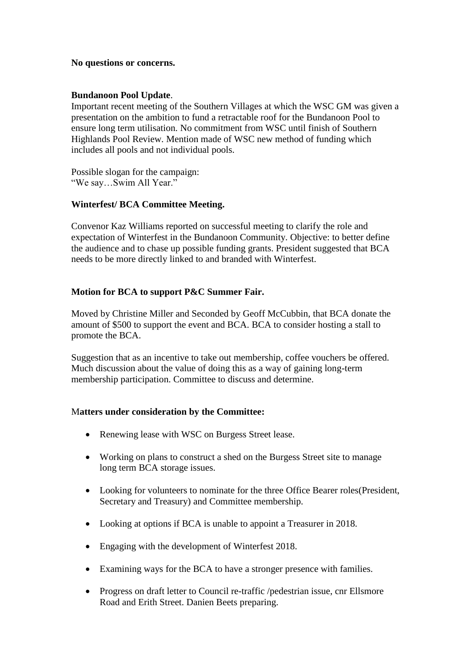#### **No questions or concerns.**

#### **Bundanoon Pool Update**.

Important recent meeting of the Southern Villages at which the WSC GM was given a presentation on the ambition to fund a retractable roof for the Bundanoon Pool to ensure long term utilisation. No commitment from WSC until finish of Southern Highlands Pool Review. Mention made of WSC new method of funding which includes all pools and not individual pools.

Possible slogan for the campaign: "We say…Swim All Year."

#### **Winterfest/ BCA Committee Meeting.**

Convenor Kaz Williams reported on successful meeting to clarify the role and expectation of Winterfest in the Bundanoon Community. Objective: to better define the audience and to chase up possible funding grants. President suggested that BCA needs to be more directly linked to and branded with Winterfest.

#### **Motion for BCA to support P&C Summer Fair.**

Moved by Christine Miller and Seconded by Geoff McCubbin, that BCA donate the amount of \$500 to support the event and BCA. BCA to consider hosting a stall to promote the BCA.

Suggestion that as an incentive to take out membership, coffee vouchers be offered. Much discussion about the value of doing this as a way of gaining long-term membership participation. Committee to discuss and determine.

#### M**atters under consideration by the Committee:**

- Renewing lease with WSC on Burgess Street lease.
- Working on plans to construct a shed on the Burgess Street site to manage long term BCA storage issues.
- Looking for volunteers to nominate for the three Office Bearer roles(President, Secretary and Treasury) and Committee membership.
- Looking at options if BCA is unable to appoint a Treasurer in 2018.
- Engaging with the development of Winterfest 2018.
- Examining ways for the BCA to have a stronger presence with families.
- Progress on draft letter to Council re-traffic /pedestrian issue, cnr Ellsmore Road and Erith Street. Danien Beets preparing.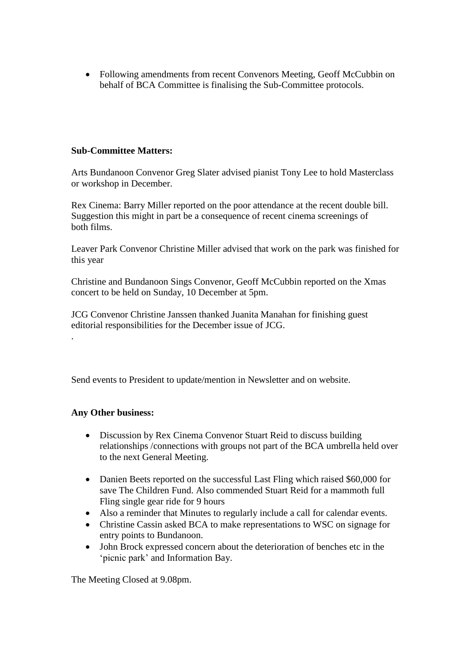• Following amendments from recent Convenors Meeting, Geoff McCubbin on behalf of BCA Committee is finalising the Sub-Committee protocols.

### **Sub-Committee Matters:**

Arts Bundanoon Convenor Greg Slater advised pianist Tony Lee to hold Masterclass or workshop in December.

Rex Cinema: Barry Miller reported on the poor attendance at the recent double bill. Suggestion this might in part be a consequence of recent cinema screenings of both films.

Leaver Park Convenor Christine Miller advised that work on the park was finished for this year

Christine and Bundanoon Sings Convenor, Geoff McCubbin reported on the Xmas concert to be held on Sunday, 10 December at 5pm.

JCG Convenor Christine Janssen thanked Juanita Manahan for finishing guest editorial responsibilities for the December issue of JCG.

Send events to President to update/mention in Newsletter and on website.

#### **Any Other business:**

.

- Discussion by Rex Cinema Convenor Stuart Reid to discuss building relationships /connections with groups not part of the BCA umbrella held over to the next General Meeting.
- Danien Beets reported on the successful Last Fling which raised \$60,000 for save The Children Fund. Also commended Stuart Reid for a mammoth full Fling single gear ride for 9 hours
- Also a reminder that Minutes to regularly include a call for calendar events.
- Christine Cassin asked BCA to make representations to WSC on signage for entry points to Bundanoon.
- John Brock expressed concern about the deterioration of benches etc in the 'picnic park' and Information Bay.

The Meeting Closed at 9.08pm.